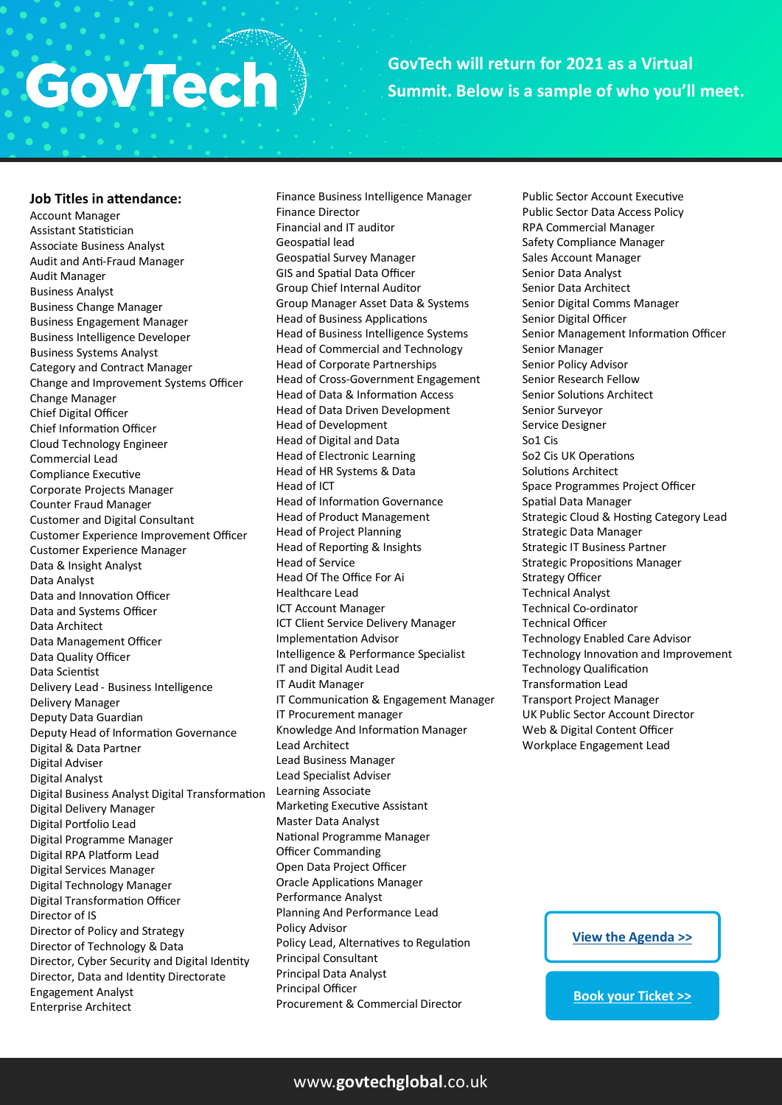## GovTech

## **GovTech will return for 2021 as a Virtual Summit. Below is a sample of who you'll meet.**

#### **Job Titles in attendance:**

Account Manager Assistant Statistician Associate Business Analyst Audit and Anti-Fraud Manager Audit Manager Business Analyst Business Change Manager Business Engagement Manager Business Intelligence Developer Business Systems Analyst Category and Contract Manager Change and Improvement Systems Officer Change Manager Chief Digital Officer Chief Information Officer Cloud Technology Engineer Commercial Lead Compliance Executive Corporate Projects Manager Counter Fraud Manager Customer and Digital Consultant Customer Experience Improvement Officer Customer Experience Manager Data & Insight Analyst Data Analyst Data and Innovation Officer Data and Systems Officer Data Architect Data Management Officer Data Quality Officer Data Scientist Delivery Lead - Business Intelligence Delivery Manager Deputy Data Guardian Deputy Head of Information Governance Digital & Data Partner Digital Adviser Digital Analyst Digital Business Analyst Digital Transformation Digital Delivery Manager Digital Portfolio Lead Digital Programme Manager Digital RPA Platform Lead Digital Services Manager Digital Technology Manager Digital Transformation Officer Director of IS Director of Policy and Strategy Director of Technology & Data Director, Cyber Security and Digital Identity Director, Data and Identity Directorate Engagement Analyst Enterprise Architect

Finance Business Intelligence Manager Finance Director Financial and IT auditor Geospatial lead Geospatial Survey Manager GIS and Spatial Data Officer Group Chief Internal Auditor Group Manager Asset Data & Systems Head of Business Applications Head of Business Intelligence Systems Head of Commercial and Technology Head of Corporate Partnerships Head of Cross-Government Engagement Head of Data & Information Access Head of Data Driven Development Head of Development Head of Digital and Data Head of Electronic Learning Head of HR Systems & Data Head of ICT Head of Information Governance Head of Product Management Head of Project Planning Head of Reporting & Insights Head of Service Head Of The Office For Ai Healthcare Lead ICT Account Manager ICT Client Service Delivery Manager Implementation Advisor Intelligence & Performance Specialist IT and Digital Audit Lead IT Audit Manager IT Communication & Engagement Manager IT Procurement manager Knowledge And Information Manager Lead Architect Lead Business Manager Lead Specialist Adviser Learning Associate Marketing Executive Assistant Master Data Analyst National Programme Manager Officer Commanding Open Data Project Officer Oracle Applications Manager Performance Analyst Planning And Performance Lead Policy Advisor Policy Lead, Alternatives to Regulation Principal Consultant Principal Data Analyst

Principal Officer Procurement & Commercial Director

Public Sector Account Executive Public Sector Data Access Policy RPA Commercial Manager Safety Compliance Manager Sales Account Manager Senior Data Analyst Senior Data Architect Senior Digital Comms Manager Senior Digital Officer Senior Management Information Officer Senior Manager Senior Policy Advisor Senior Research Fellow Senior Solutions Architect Senior Surveyor Service Designer So1 Cis So2 Cis UK Operations Solutions Architect Space Programmes Project Officer Spatial Data Manager Strategic Cloud & Hosting Category Lead Strategic Data Manager Strategic IT Business Partner Strategic Propositions Manager Strategy Officer Technical Analyst Technical Co-ordinator Technical Officer Technology Enabled Care Advisor Technology Innovation and Improvement Technology Qualification Transformation Lead Transport Project Manager UK Public Sector Account Director Web & Digital Content Officer Workplace Engagement Lead

**[View the Agenda >>](https://modernising-justice.co.uk/agenda/)**

**[Book your Ticket >>](https://modernising-justice.co.uk/pricing/)**